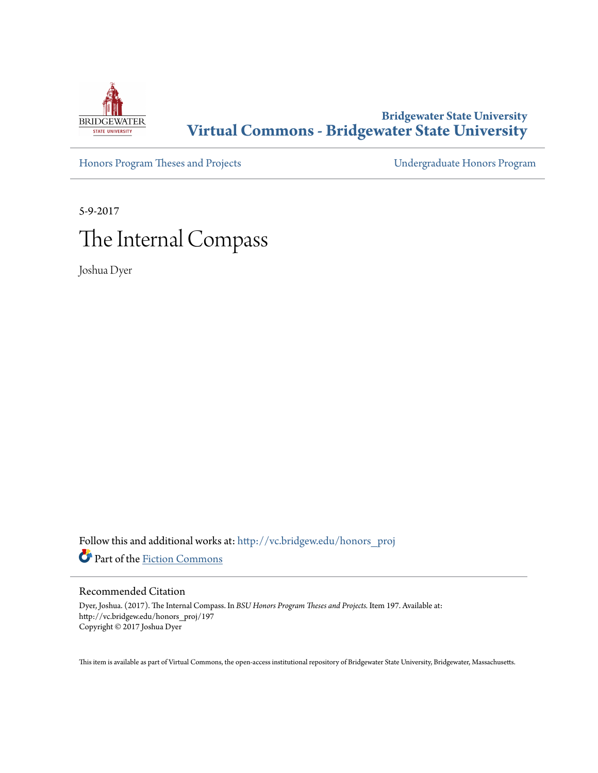

## **Bridgewater State University [Virtual Commons - Bridgewater State University](http://vc.bridgew.edu?utm_source=vc.bridgew.edu%2Fhonors_proj%2F197&utm_medium=PDF&utm_campaign=PDFCoverPages)**

[Honors Program Theses and Projects](http://vc.bridgew.edu/honors_proj?utm_source=vc.bridgew.edu%2Fhonors_proj%2F197&utm_medium=PDF&utm_campaign=PDFCoverPages) [Undergraduate Honors Program](http://vc.bridgew.edu/honors?utm_source=vc.bridgew.edu%2Fhonors_proj%2F197&utm_medium=PDF&utm_campaign=PDFCoverPages)

5-9-2017

# The Internal Compass

Joshua Dyer

Follow this and additional works at: [http://vc.bridgew.edu/honors\\_proj](http://vc.bridgew.edu/honors_proj?utm_source=vc.bridgew.edu%2Fhonors_proj%2F197&utm_medium=PDF&utm_campaign=PDFCoverPages) Part of the [Fiction Commons](http://network.bepress.com/hgg/discipline/1151?utm_source=vc.bridgew.edu%2Fhonors_proj%2F197&utm_medium=PDF&utm_campaign=PDFCoverPages)

### Recommended Citation

Dyer, Joshua. (2017). The Internal Compass. In *BSU Honors Program Theses and Projects.* Item 197. Available at: http://vc.bridgew.edu/honors\_proj/197 Copyright © 2017 Joshua Dyer

This item is available as part of Virtual Commons, the open-access institutional repository of Bridgewater State University, Bridgewater, Massachusetts.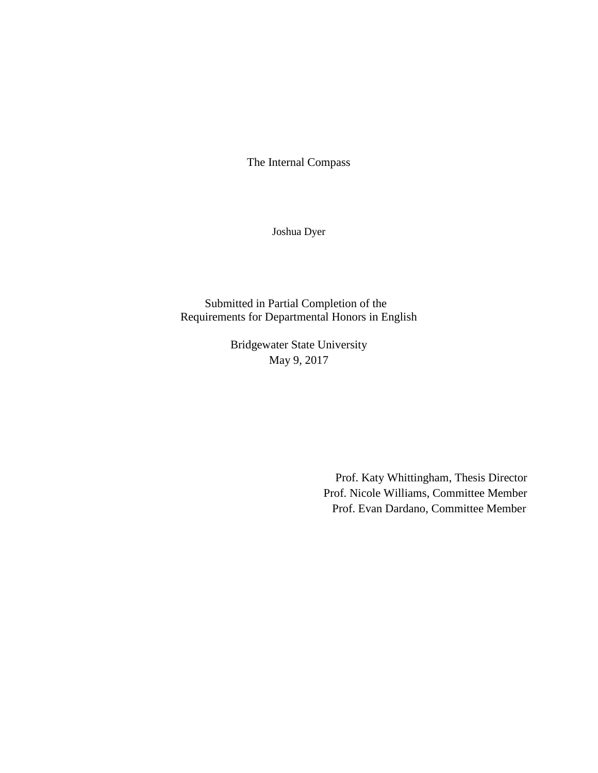The Internal Compass

Joshua Dyer

Submitted in Partial Completion of the Requirements for Departmental Honors in English

> Bridgewater State University May 9, 2017

> > Prof. Katy Whittingham, Thesis Director Prof. Nicole Williams, Committee Member Prof. Evan Dardano, Committee Member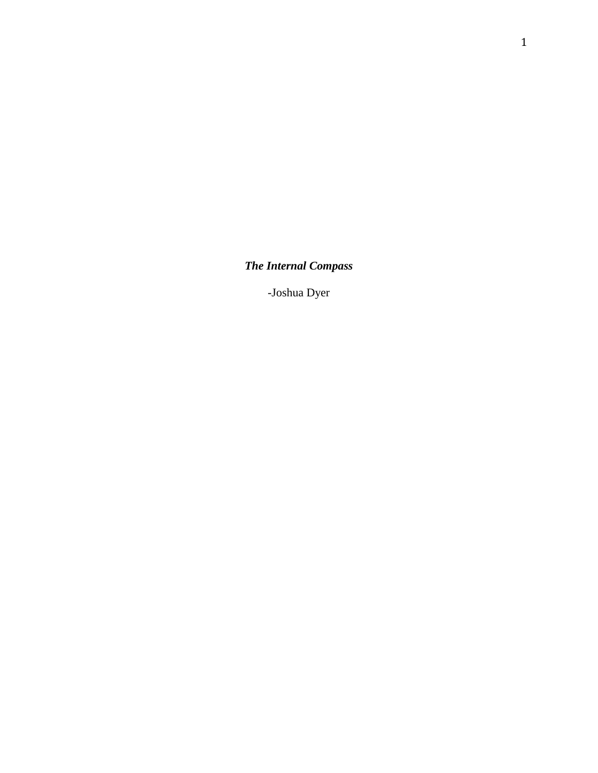*The Internal Compass*

-Joshua Dyer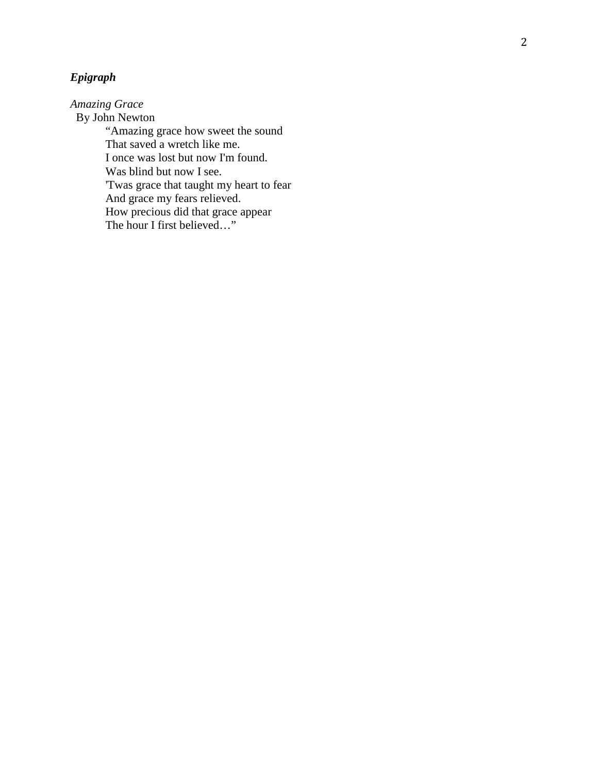## *Epigraph*

*Amazing Grace*

 By John Newton "Amazing grace how sweet the sound That saved a wretch like me. I once was lost but now I'm found. Was blind but now I see. 'Twas grace that taught my heart to fear And grace my fears relieved. How precious did that grace appear The hour I first believed … "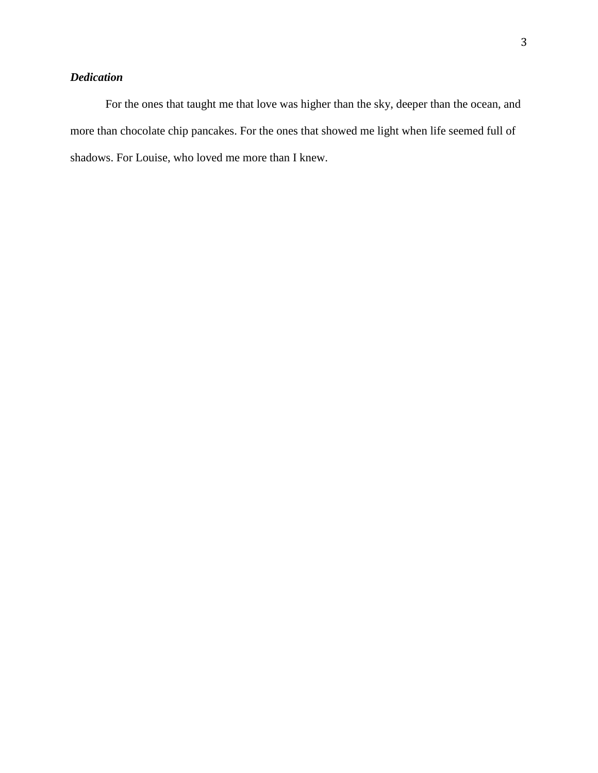## *Dedication*

For the ones that taught me that love was higher than the sky, deeper than the ocean, and more than chocolate chip pancakes. For the ones that showed me light when life seemed full of shadows. For Louise, who loved me more than I knew.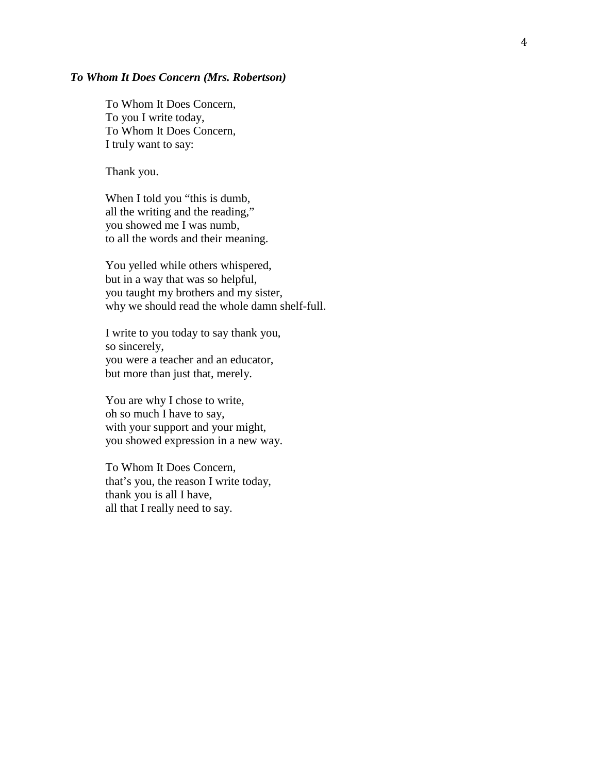#### *To Whom It Does Concern (Mrs. Robertson )*

To Whom It Does Concern, To you I write today, To Whom It Does Concern, I truly want to say:

Thank you.

When I told you "this is dumb, all the writing and the reading, " you showed me I was numb, to all the words and their meaning.

You yelled while others whispered, but in a way that was so helpful, you taught my brothers and my sister, why we should read the whole damn shelf-full.

I write to you today to say thank you, so sincerely, you were a teacher and a n educator, but more than just that, merely.

You are why I chose to write, oh so much I have to say , with your support and your might, you showed expression in a new way.

To Whom It Does Concern, that's you, the reason I write today, thank you is all I have, all that I really need to say.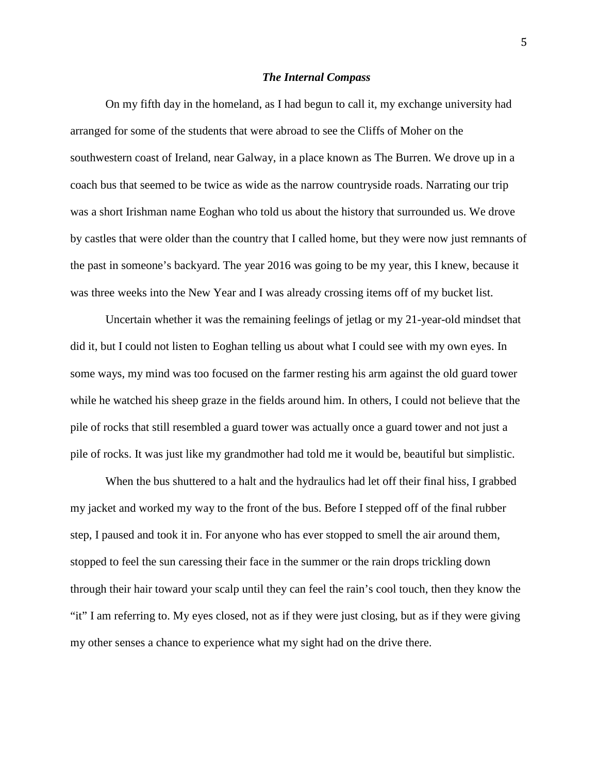#### *The Internal Compass*

On my fifth day in the homeland, as I had begun to call it, my exchange university had arranged for some of the students that were abroad to see the Cliffs of Moher on the southwestern coast of Ireland, near Galway, in a place known as The Burren. We drove up in a coach bus that seemed to be twice as wide as the narrow countryside roads. Narrating our trip was a short Irishman name Eoghan who told us about the history that surrounded us. We drove by castles that were older than the country that I called home, but they were now just remnants of the past in someone's backyard. The year 2016 was going to be my year, this I knew, because it was three weeks into the New Year and I was already crossing items off of my bucket list.

Uncertain whether it was the remaining feelings of jetlag or my 21-year-old mindset that did it, but I could not listen to Eoghan telling us about what I could see with my own eyes. In some ways, my mind was too focused on the farmer resting his arm against the old guard tower while he watched his sheep graze in the fields around him. In others, I could not believe that the pile of rocks that still resembled a guard tower was actually once a guard tower and not just a pile of rocks. It was just like my grandmother had told me it would be, beautiful but simplistic.

When the bus shuttered to a halt and the hydraulics had let off their final hiss, I grabbed my jacket and worked my way to the front of the bus. Before I stepped off of the final rubber step, I paused and took it in. For anyone who has ever stopped to smell the air around them, stopped to feel the sun caressing their face in the summer or the rain drops trickling down through their hair toward your scalp until they can feel the rain's cool touch, then they know the "it" I am referring to. My eyes closed, not as if they were just closing, but as if they were giving my other senses a chance to experience what my sight had on the drive there.

5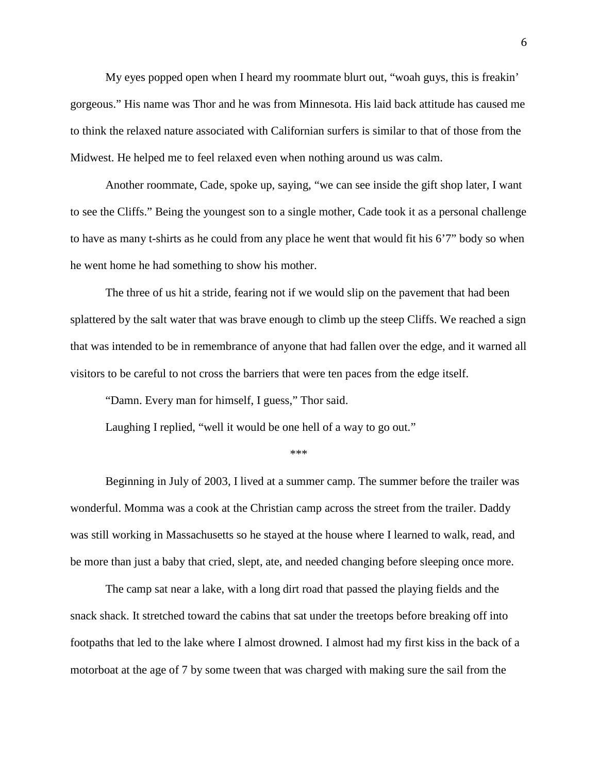My eyes popped open when I heard my roommate blurt out, "woah guys, this is freakin' gorgeous." His name was Thor and he was from Minnesota. His laid back attitude has caused me to think the relaxed nature associated with Californian surfers is similar to that of those from the Midwest. He helped me to feel relaxed even when nothing around us was calm.

Another roommate, Cade, spoke up, saying, "we can see inside the gift shop later, I want to see the Cliffs." Being the youngest son to a single mother, Cade took it as a personal challenge to have as many t-shirts as he could from any place he went that would fit his 6'7" body so when he went home he had something to show his mother.

The three of us hit a stride, fearing not if we would slip on the pavement that had been splattered by the salt water that was brave enough to climb up the steep Cliffs. We reached a sign that was intended to be in remembrance of anyone that had fallen over the edge, and it warned all visitors to be careful to not cross the barriers that were ten paces from the edge itself.

"Damn. Every man for himself, I guess," Thor said.

Laughing I replied, "well it would be one hell of a way to go out."

\*\*\*

Beginning in July of 2003, I lived at a summer camp. The summer before the trailer was wonderful. Momma was a cook at the Christian camp across the street from the trailer. Daddy was still working in Massachusetts so he stayed at the house where I learned to walk, read, and be more than just a baby that cried, slept, ate, and needed changing before sleeping once more.

The camp sat near a lake, with a long dirt road that passed the playing fields and the snack shack. It stretched toward the cabins that sat under the treetops before breaking off into footpaths that led to the lake where I almost drowned. I almost had my first kiss in the back of a motorboat at the age of 7 by some tween that was charged with making sure the sail from the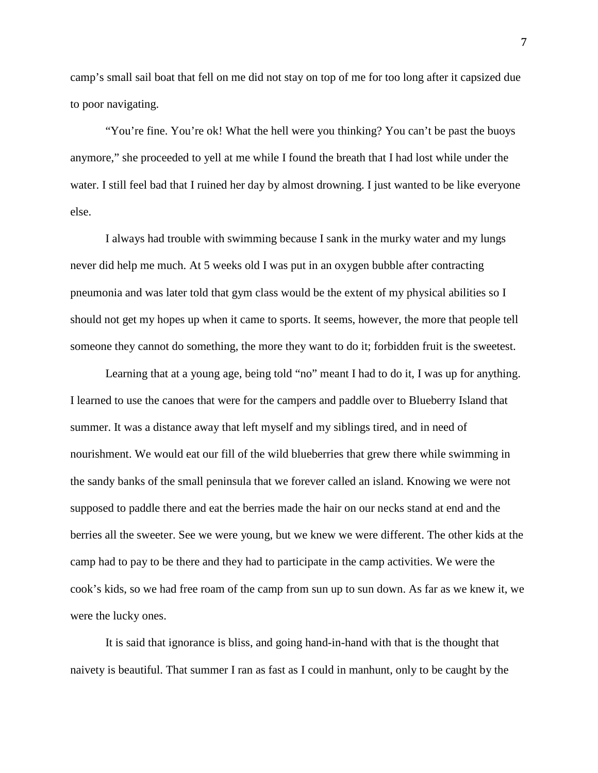camp's small sail boat that fell on me did not stay on top of me for too long after it capsized due to poor navigating.

"You're fine. You're ok! What the hell were you thinking? You can't be past the buoys anymore," she proceeded to yell at me while I found the breath that I had lost while under the water. I still feel bad that I ruined her day by almost drowning. I just wanted to be like everyone else.

I always had trouble with swimming because I sank in the murky water and my lungs never did help me much. At 5 weeks old I was put in an oxygen bubble after contracting pneumonia and was later told that gym class would be the extent of my physical abilities so I should not get my hopes up when it came to sports. It seems, however, the more that people tell someone they cannot do something, the more they want to do it; forbidden fruit is the sweetest.

Learning that at a young age, being told "no" meant I had to do it, I was up for anything. I learned to use the canoes that were for the campers and paddle over to Blueberry Island that summer. It was a distance away that left myself and my siblings tired, and in need of nourishment. We would eat our fill of the wild blueberries that grew there while swimming in the sandy banks of the small peninsula that we forever called an island. Knowing we were not supposed to paddle there and eat the berries made the hair on our necks stand at end and the berries all the sweeter. See we were young, but we knew we were different. The other kids at the camp had to pay to be there and they had to participate in the camp activities. We were the cook's kids, so we had free roam of the camp from sun up to sun down. As far as we knew it, we were the lucky ones.

It is said that ignorance is bliss, and going hand-in-hand with that is the thought that naivety is beautiful. That summer I ran as fast as I could in manhunt, only to be caught by the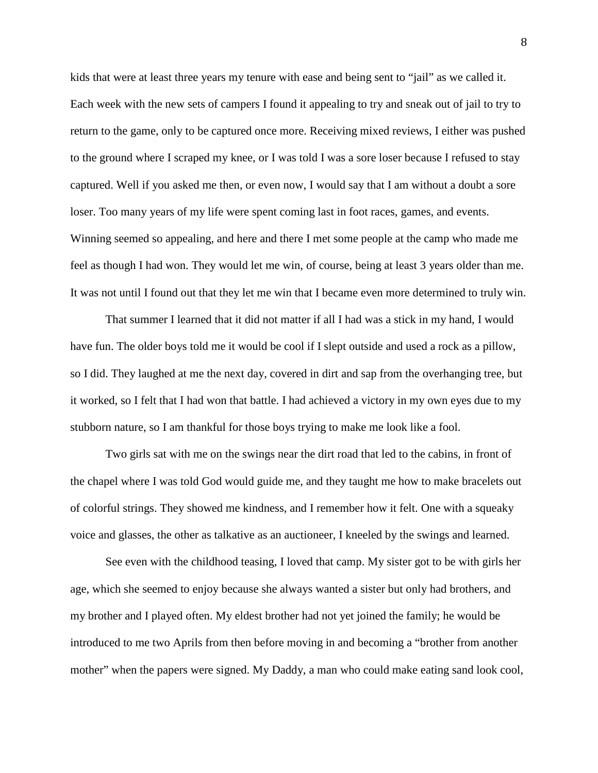kids that were at least three years my tenure with ease and being sent to "jail" as we called it. Each week with the new sets of campers I found it appealing to try and sneak out of jail to try to return to the game, only to be captured once more. Receiving mixed reviews, I either was pushed to the ground where I scraped my knee, or I was told I was a sore loser because I refused to stay captured. Well if you asked me then, or even now, I would say that I am without a doubt a sore loser. Too many years of my life were spent coming last in foot races, games, and events. Winning seemed so appealing, and here and there I met some people at the camp who made me feel as though I had won. They would let me win, of course, being at least 3 years older than me. It was not until I found out that they let me win that I became even more determined to truly win.

That summer I learned that it did not matter if all I had was a stick in my hand, I would have fun. The older boys told me it would be cool if I slept outside and used a rock as a pillow, so I did. They laughed at me the next day, covered in dirt and sap from the overhanging tree, but it worked, so I felt that I had won that battle. I had achieved a victory in my own eyes due to my stubborn nature, so I am thankful for those boys trying to make me look like a fool.

Two girls sat with me on the swings near the dirt road that led to the cabins, in front of the chapel where I was told God would guide me, and they taught me how to make bracelets out of colorful strings. They showed me kindness, and I remember how it felt. One with a squeaky voice and glasses, the other as talkative as an auctioneer, I kneeled by the swings and learned.

See even with the childhood teasing, I loved that camp. My sister got to be with girls her age, which she seemed to enjoy because she always wanted a sister but only had brothers, and my brother and I played often. My eldest brother had not yet joined the family; he would be introduced to me two Aprils from then before moving in and becoming a "brother from another mother" when the papers were signed. My Daddy, a man who could make eating sand look cool,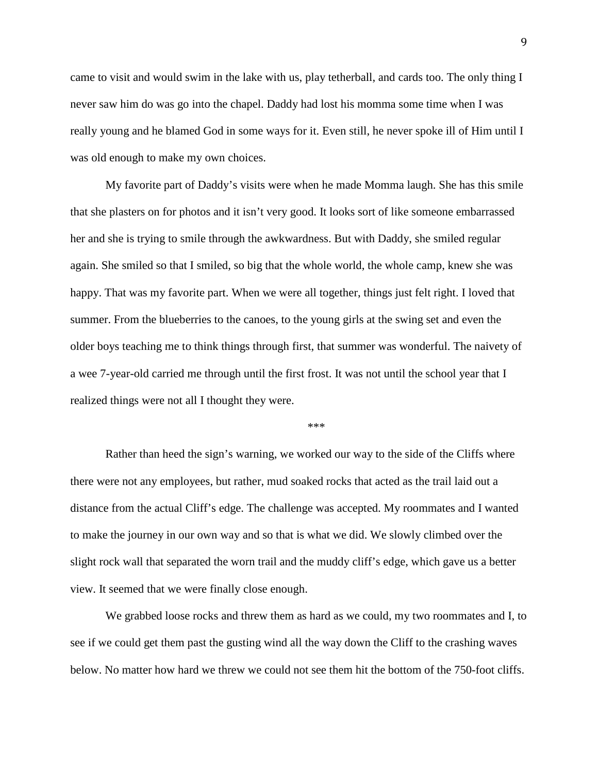came to visit and would swim in the lake with us, play tetherball, and cards too. The only thing I never saw him do was go into the chapel. Daddy had lost his momma some time when I was really young and he blamed God in some ways for it. Even still, he never spoke ill of Him until I was old enough to make my own choices.

My favorite part of Daddy's visits were when he made Momma laugh. She has this smile that she plasters on for photos and it isn't very good. It looks sort of like someone embarrassed her and she is trying to smile through the awkwardness. But with Daddy, she smiled regular again. She smiled so that I smiled, so big that the whole world, the whole camp, knew she was happy. That was my favorite part. When we were all together, things just felt right. I loved that summer. From the blueberries to the canoes, to the young girls at the swing set and even the older boys teaching me to think things through first, that summer was wonderful. The naivety of a wee 7-year-old carried me through until the first frost. It was not until the school year that I realized things were not all I thought they were.

\*\*\*

Rather than heed the sign's warning, we worked our way to the side of the Cliffs where there were not any employees, but rather, mud soaked rocks that acted as the trail laid out a distance from the actual Cliff's edge. The challenge was accepted. My roommates and I wanted to make the journey in our own way and so that is what we did. We slowly climbed over the slight rock wall that separated the worn trail and the muddy cliff's edge, which gave us a better view. It seemed that we were finally close enough.

We grabbed loose rocks and threw them as hard as we could, my two roommates and I, to see if we could get them past the gusting wind all the way down the Cliff to the crashing waves below. No matter how hard we threw we could not see them hit the bottom of the 750-foot cliffs.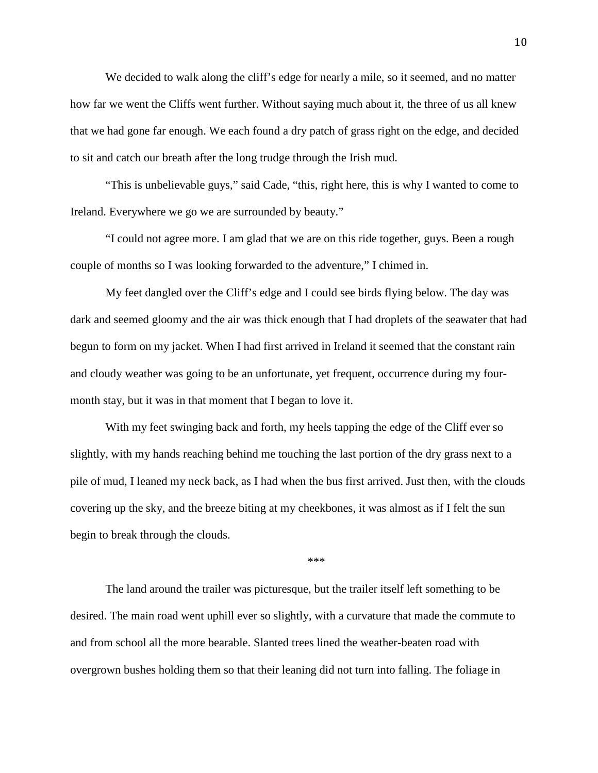We decided to walk along the cliff's edge for nearly a mile, so it seemed, and no matter how far we went the Cliffs went further. Without saying much about it, the three of us all knew that we had gone far enough. We each found a dry patch of grass right on the edge, and decided to sit and catch our breath after the long trudge through the Irish mud.

"This is unbelievable guys," said Cade, "this, right here, this is why I wanted to come to Ireland. Everywhere we go we are surrounded by beauty."

"I could not agree more. I am glad that we are on this ride together, guys. Been a rough couple of months so I was looking forwarded to the adventure," I chimed in.

My feet dangled over the Cliff's edge and I could see birds flying below. The day was dark and seemed gloomy and the air was thick enough that I had droplets of the seawater that had begun to form on my jacket. When I had first arrived in Ireland it seemed that the constant rain and cloudy weather was going to be an unfortunate, yet frequent, occurrence during my fourmonth stay, but it was in that moment that I began to love it.

With my feet swinging back and forth, my heels tapping the edge of the Cliff ever so slightly, with my hands reaching behind me touching the last portion of the dry grass next to a pile of mud, I leaned my neck back, as I had when the bus first arrived. Just then, with the clouds covering up the sky, and the breeze biting at my cheekbones, it was almost as if I felt the sun begin to break through the clouds.

\*\*\*

The land around the trailer was picturesque, but the trailer itself left something to be desired. The main road went uphill ever so slightly, with a curvature that made the commute to and from school all the more bearable. Slanted trees lined the weather-beaten road with overgrown bushes holding them so that their leaning did not turn into falling. The foliage in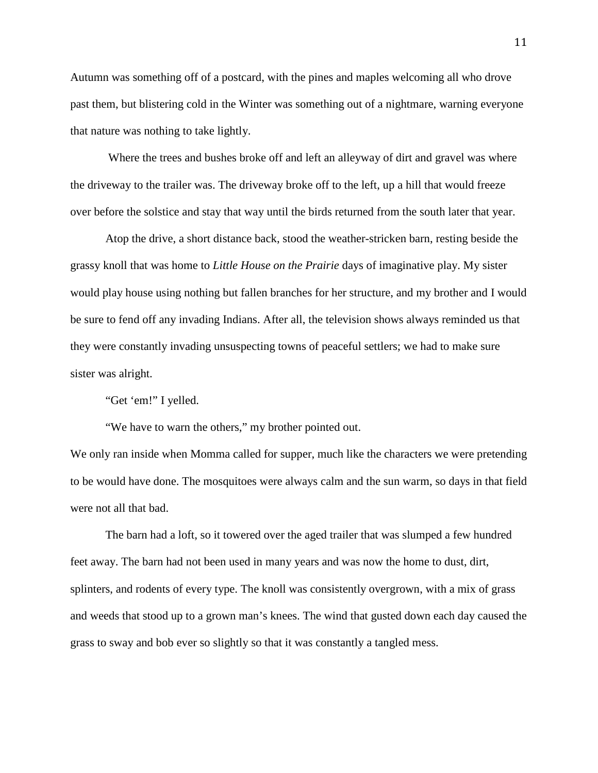Autumn was something off of a postcard, with the pines and maples welcoming all who drove past them, but blistering cold in the Winter was something out of a nightmare, warning everyone that nature was nothing to take lightly.

Where the trees and bushes broke off and left an alleyway of dirt and gravel was where the driveway to the trailer was. The driveway broke off to the left, up a hill that would freeze over before the solstice and stay that way until the birds returned from the south later that year.

Atop the drive, a short distance back, stood the weather-stricken barn, resting beside the grassy knoll that was home to *Little House on the Prairie* days of imaginative play. My sister would play house using nothing but fallen branches for her structure, and my brother and I would be sure to fend off any invading Indians. After all, the television shows always reminded us that they were constantly invading unsuspecting towns of peaceful settlers; we had to make sure sister was alright.

"Get 'em!" I yelled.

"We have to warn the others," my brother pointed out.

We only ran inside when Momma called for supper, much like the characters we were pretending to be would have done. The mosquitoes were always calm and the sun warm, so days in that field were not all that bad.

The barn had a loft, so it towered over the aged trailer that was slumped a few hundred feet away. The barn had not been used in many years and was now the home to dust, dirt, splinters, and rodents of every type. The knoll was consistently overgrown, with a mix of grass and weeds that stood up to a grown man's knees. The wind that gusted down each day caused the grass to sway and bob ever so slightly so that it was constantly a tangled mess.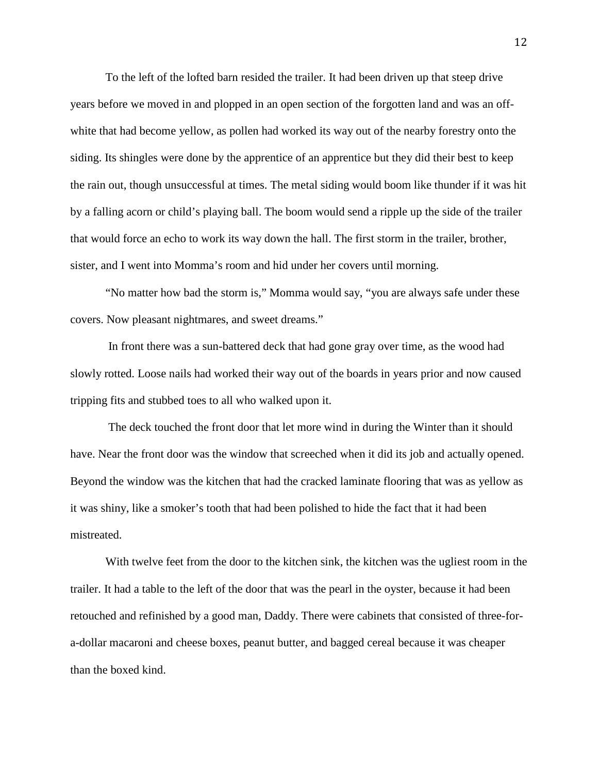To the left of the lofted barn resided the trailer. It had been driven up that steep drive years before we moved in and plopped in an open section of the forgotten land and was an offwhite that had become yellow, as pollen had worked its way out of the nearby forestry onto the siding. Its shingles were done by the apprentice of an apprentice but they did their best to keep the rain out, though unsuccessful at times. The metal siding would boom like thunder if it was hit by a falling acorn or child's playing ball. The boom would send a ripple up the side of the trailer that would force an echo to work its way down the hall. The first storm in the trailer, brother, sister, and I went into Momma's room and hid under her covers until morning.

"No matter how bad the storm is," Momma would say, "you are always safe under these covers. Now pleasant nightmares, and sweet dreams."

In front there was a sun-battered deck that had gone gray over time, as the wood had slowly rotted. Loose nails had worked their way out of the boards in years prior and now caused tripping fits and stubbed toes to all who walked upon it.

The deck touched the front door that let more wind in during the Winter than it should have. Near the front door was the window that screeched when it did its job and actually opened. Beyond the window was the kitchen that had the cracked laminate flooring that was as yellow as it was shiny, like a smoker's tooth that had been polished to hide the fact that it had been mistreated.

With twelve feet from the door to the kitchen sink, the kitchen was the ugliest room in the trailer. It had a table to the left of the door that was the pearl in the oyster, because it had been retouched and refinished by a good man, Daddy. There were cabinets that consisted of three-fora-dollar macaroni and cheese boxes, peanut butter, and bagged cereal because it was cheaper than the boxed kind.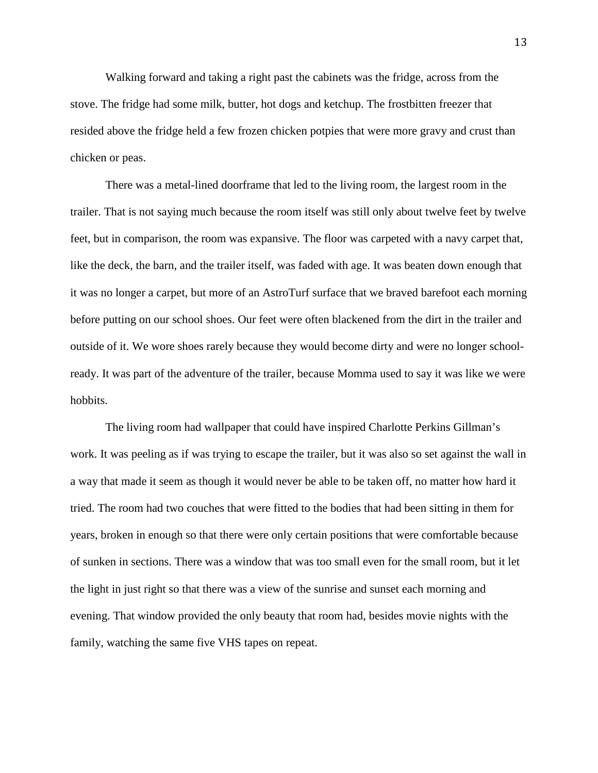Walking forward and taking a right past the cabinets was the fridge, across from the stove. The fridge had some milk, butter, hot dogs and ketchup. The frostbitten freezer that resided above the fridge held a few frozen chicken potpies that were more gravy and crust than chicken or peas.

There was a metal-lined doorframe that led to the living room, the largest room in the trailer. That is not saying much because the room itself was still only about twelve feet by twelve feet, but in comparison, the room was expansive. The floor was carpeted with a navy carpet that, like the deck, the barn, and the trailer itself, was faded with age. It was beaten down enough that it was no longer a carpet, but more of an AstroTurf surface that we braved barefoot each morning before putting on our school shoes. Our feet were often blackened from the dirt in the trailer and outside of it. We wore shoes rarely because they would become dirty and were no longer schoolready. It was part of the adventure of the trailer, because Momma used to say it was like we were hobbits.

The living room had wallpaper that could have inspired Charlotte Perkins Gillman's work. It was peeling as if was trying to escape the trailer, but it was also so set against the wall in a way that made it seem as though it would never be able to be taken off, no matter how hard it tried. The room had two couches that were fitted to the bodies that had been sitting in them for years, broken in enough so that there were only certain positions that were comfortable because of sunken in sections. There was a window that was too small even for the small room, but it let the light in just right so that there was a view of the sunrise and sunset each morning and evening. That window provided the only beauty that room had, besides movie nights with the family, watching the same five VHS tapes on repeat.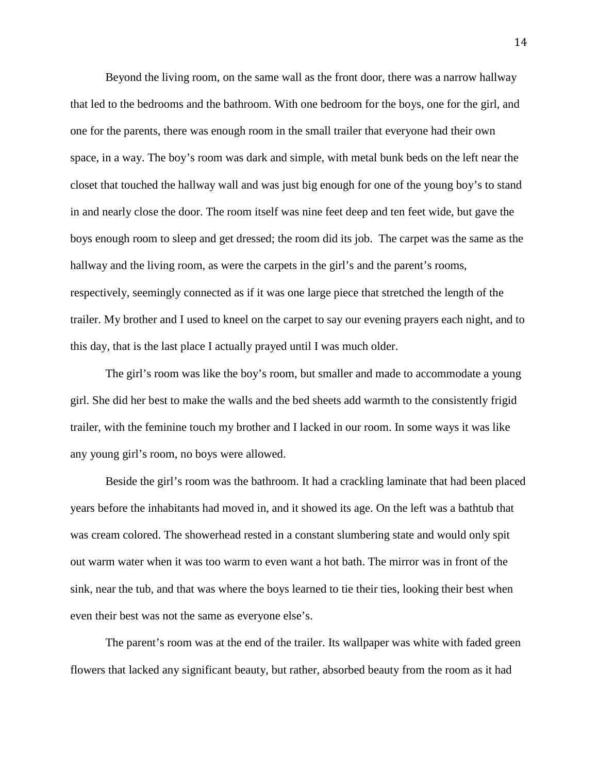Beyond the living room, on the same wall as the front door, there was a narrow hallway that led to the bedrooms and the bathroom. With one bedroom for the boys, one for the girl, and one for the parents, there was enough room in the small trailer that everyone had their own space, in a way. The boy's room was dark and simple, with metal bunk beds on the left near the closet that touched the hallway wall and was just big enough for one of the young boy's to stand in and nearly close the door. The room itself was nine feet deep and ten feet wide, but gave the boys enough room to sleep and get dressed; the room did its job. The carpet was the same as the hallway and the living room, as were the carpets in the girl's and the parent's rooms, respectively, seemingly connected as if it was one large piece that stretched the length of the trailer. My brother and I used to kneel on the carpet to say our evening prayers each night, and to this day, that is the last place I actually prayed until I was much older.

The girl's room was like the boy's room, but smaller and made to accommodate a young girl. She did her best to make the walls and the bed sheets add warmth to the consistently frigid trailer, with the feminine touch my brother and I lacked in our room. In some ways it was like any young girl's room, no boys were allowed.

Beside the girl's room was the bathroom. It had a crackling laminate that had been placed years before the inhabitants had moved in, and it showed its age. On the left was a bathtub that was cream colored. The showerhead rested in a constant slumbering state and would only spit out warm water when it was too warm to even want a hot bath. The mirror was in front of the sink, near the tub, and that was where the boys learned to tie their ties, looking their best when even their best was not the same as everyone else's.

The parent's room was at the end of the trailer. Its wallpaper was white with faded green flowers that lacked any significant beauty, but rather, absorbed beauty from the room as it had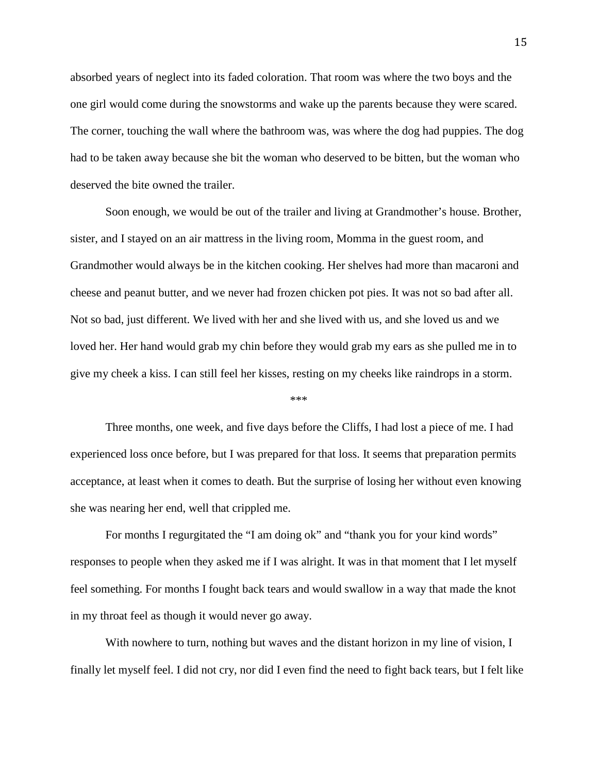absorbed years of neglect into its faded coloration. That room was where the two boys and the one girl would come during the snowstorms and wake up the parents because they were scared. The corner, touching the wall where the bathroom was, was where the dog had puppies. The dog had to be taken away because she bit the woman who deserved to be bitten, but the woman who deserved the bite owned the trailer.

Soon enough, we would be out of the trailer and living at Grandmother's house. Brother, sister, and I stayed on an air mattress in the living room, Momma in the guest room, and Grandmother would always be in the kitchen cooking. Her shelves had more than macaroni and cheese and peanut butter, and we never had frozen chicken pot pies. It was not so bad after all. Not so bad, just different. We lived with her and she lived with us, and she loved us and we loved her. Her hand would grab my chin before they would grab my ears as she pulled me in to give my cheek a kiss. I can still feel her kisses, resting on my cheeks like raindrops in a storm.

#### \*\*\*

Three months, one week, and five days before the Cliffs, I had lost a piece of me. I had experienced loss once before, but I was prepared for that loss. It seems that preparation permits acceptance, at least when it comes to death. But the surprise of losing her without even knowing she was nearing her end, well that crippled me.

For months I regurgitated the "I am doing ok" and "thank you for your kind words" responses to people when they asked me if I was alright. It was in that moment that I let myself feel something. For months I fought back tears and would swallow in a way that made the knot in my throat feel as though it would never go away.

With nowhere to turn, nothing but waves and the distant horizon in my line of vision, I finally let myself feel. I did not cry, nor did I even find the need to fight back tears, but I felt like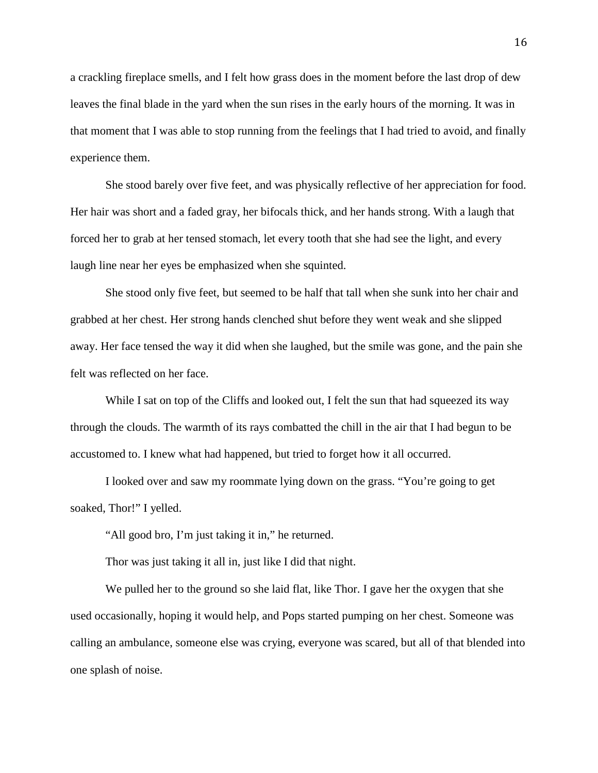a crackling fireplace smells, and I felt how grass does in the moment before the last drop of dew leaves the final blade in the yard when the sun rises in the early hours of the morning. It was in that moment that I was able to stop running from the feelings that I had tried to avoid, and finally experience them.

She stood barely over five feet, and was physically reflective of her appreciation for food. Her hair was short and a faded gray, her bifocals thick, and her hands strong. With a laugh that forced her to grab at her tensed stomach, let every tooth that she had see the light, and every laugh line near her eyes be emphasized when she squinted.

She stood only five feet, but seemed to be half that tall when she sunk into her chair and grabbed at her chest. Her strong hands clenched shut before they went weak and she slipped away. Her face tensed the way it did when she laughed, but the smile was gone, and the pain she felt was reflected on her face.

While I sat on top of the Cliffs and looked out, I felt the sun that had squeezed its way through the clouds. The warmth of its rays combatted the chill in the air that I had begun to be accustomed to. I knew what had happened, but tried to forget how it all occurred.

I looked over and saw my roommate lying down on the grass. "You're going to get soaked, Thor!" I yelled.

"All good bro, I'm just taking it in," he returned.

Thor was just taking it all in, just like I did that night.

We pulled her to the ground so she laid flat, like Thor. I gave her the oxygen that she used occasionally, hoping it would help, and Pops started pumping on her chest. Someone was calling an ambulance, someone else was crying, everyone was scared, but all of that blended into one splash of noise.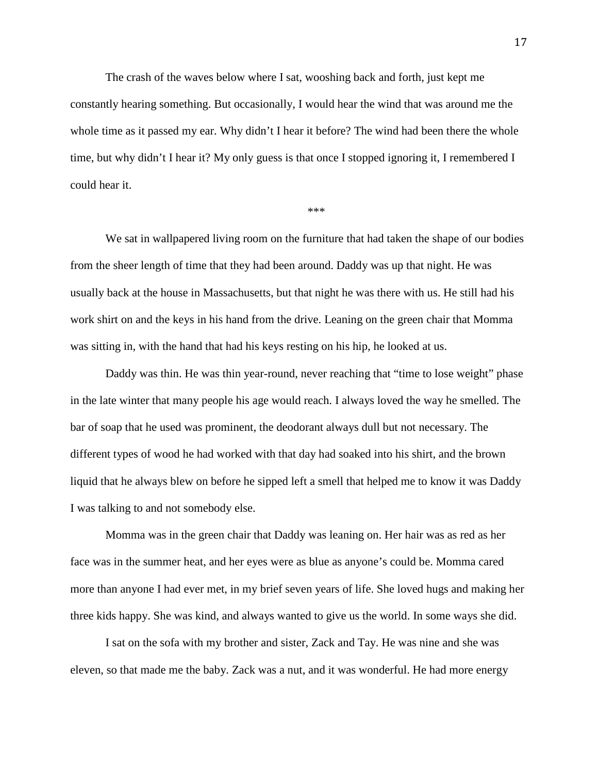The crash of the waves below where I sat, wooshing back and forth, just kept me constantly hearing something. But occasionally, I would hear the wind that was around me the whole time as it passed my ear. Why didn't I hear it before? The wind had been there the whole time, but why didn't I hear it? My only guess is that once I stopped ignoring it, I remembered I could hear it.

\*\*\*

We sat in wallpapered living room on the furniture that had taken the shape of our bodies from the sheer length of time that they had been around. Daddy was up that night. He was usually back at the house in Massachusetts, but that night he was there with us. He still had his work shirt on and the keys in his hand from the drive. Leaning on the green chair that Momma was sitting in, with the hand that had his keys resting on his hip, he looked at us.

Daddy was thin. He was thin year-round, never reaching that "time to lose weight" phase in the late winter that many people his age would reach. I always loved the way he smelled. The bar of soap that he used was prominent, the deodorant always dull but not necessary. The different types of wood he had worked with that day had soaked into his shirt, and the brown liquid that he always blew on before he sipped left a smell that helped me to know it was Daddy I was talking to and not somebody else.

Momma was in the green chair that Daddy was leaning on. Her hair was as red as her face was in the summer heat, and her eyes were as blue as anyone's could be. Momma cared more than anyone I had ever met, in my brief seven years of life. She loved hugs and making her three kids happy. She was kind, and always wanted to give us the world. In some ways she did.

I sat on the sofa with my brother and sister, Zack and Tay. He was nine and she was eleven, so that made me the baby. Zack was a nut, and it was wonderful. He had more energy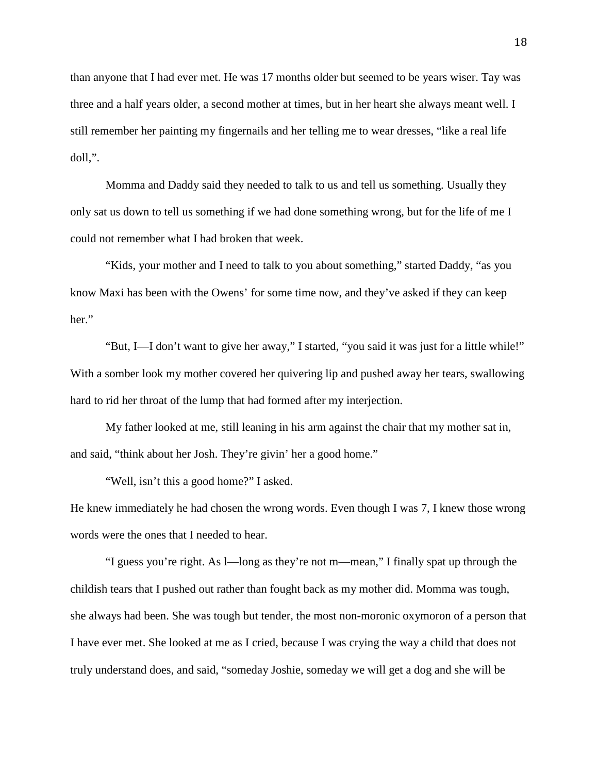than anyone that I had ever met. He was 17 months older but seemed to be years wiser. Tay was three and a half years older, a second mother at times, but in her heart she always meant well. I still remember her painting my fingernails and her telling me to wear dresses, "like a real life doll,".

Momma and Daddy said they needed to talk to us and tell us something. Usually they only sat us down to tell us something if we had done something wrong, but for the life of me I could not remember what I had broken that week.

"Kids, your mother and I need to talk to you about something," started Daddy, "as you know Maxi has been with the Owens' for some time now, and they've asked if they can keep her."

"But, I—I don't want to give her away," I started, "you said it was just for a little while!" With a somber look my mother covered her quivering lip and pushed away her tears, swallowing hard to rid her throat of the lump that had formed after my interjection.

My father looked at me, still leaning in his arm against the chair that my mother sat in, and said, "think about her Josh. They're givin' her a good home."

"Well, isn't this a good home?" I asked.

He knew immediately he had chosen the wrong words. Even though I was 7, I knew those wrong words were the ones that I needed to hear.

"I guess you're right. As l—long as they're not m—mean," I finally spat up through the childish tears that I pushed out rather than fought back as my mother did. Momma was tough, she always had been. She was tough but tender, the most non-moronic oxymoron of a person that I have ever met. She looked at me as I cried, because I was crying the way a child that does not truly understand does, and said, "someday Joshie, someday we will get a dog and she will be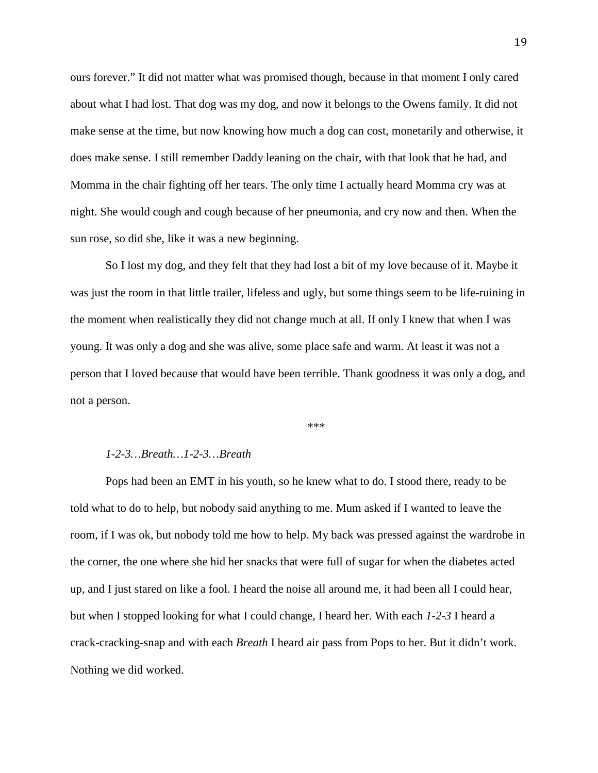ours forever." It did not matter what was promised though, because in that moment I only cared about what I had lost. That dog was my dog, and now it belongs to the Owens family. It did not make sense at the time, but now knowing how much a dog can cost, monetarily and otherwise, it does make sense. I still remember Daddy leaning on the chair, with that look that he had, and Momma in the chair fighting off her tears. The only time I actually heard Momma cry was at night. She would cough and cough because of her pneumonia, and cry now and then. When the sun rose, so did she, like it was a new beginning.

So I lost my dog, and they felt that they had lost a bit of my love because of it. Maybe it was just the room in that little trailer, lifeless and ugly, but some things seem to be life-ruining in the moment when realistically they did not change much at all. If only I knew that when I was young. It was only a dog and she was alive, some place safe and warm. At least it was not a person that I loved because that would have been terrible. Thank goodness it was only a dog, and not a person.

\*\*\*

#### *1-2-3…Breath…1-2-3…Breath*

Pops had been an EMT in his youth, so he knew what to do. I stood there, ready to be told what to do to help, but nobody said anything to me. Mum asked if I wanted to leave the room, if I was ok, but nobody told me how to help. My back was pressed against the wardrobe in the corner, the one where she hid her snacks that were full of sugar for when the diabetes acted up, and I just stared on like a fool. I heard the noise all around me, it had been all I could hear, but when I stopped looking for what I could change, I heard her. With each *1-2-3* I heard a crack-cracking-snap and with each *Breath* I heard air pass from Pops to her. But it didn't work. Nothing we did worked.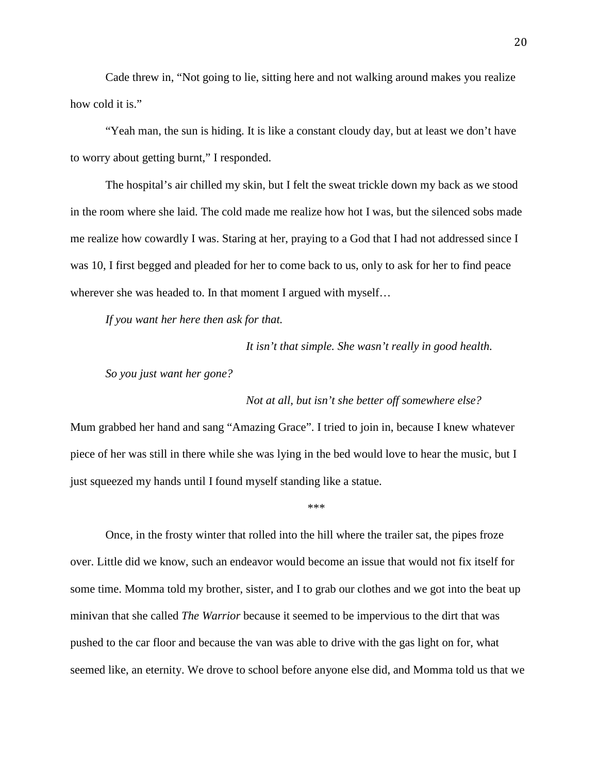Cade threw in, "Not going to lie, sitting here and not walking around makes you realize how cold it is."

"Yeah man, the sun is hiding. It is like a constant cloudy day, but at least we don't have to worry about getting burnt," I responded.

The hospital's air chilled my skin, but I felt the sweat trickle down my back as we stood in the room where she laid. The cold made me realize how hot I was, but the silenced sobs made me realize how cowardly I was. Staring at her, praying to a God that I had not addressed since I was 10, I first begged and pleaded for her to come back to us, only to ask for her to find peace wherever she was headed to. In that moment I argued with myself...

*If you want her here then ask for that.*

*It isn't that simple. She wasn't really in good health.*

*So you just want her gone?*

*Not at all, but isn't she better off somewhere else?*

Mum grabbed her hand and sang "Amazing Grace". I tried to join in, because I knew whatever piece of her was still in there while she was lying in the bed would love to hear the music, but I just squeezed my hands until I found myself standing like a statue.

\*\*\*

Once, in the frosty winter that rolled into the hill where the trailer sat, the pipes froze over. Little did we know, such an endeavor would become an issue that would not fix itself for some time. Momma told my brother, sister, and I to grab our clothes and we got into the beat up minivan that she called *The Warrior* because it seemed to be impervious to the dirt that was pushed to the car floor and because the van was able to drive with the gas light on for, what seemed like, an eternity. We drove to school before anyone else did, and Momma told us that we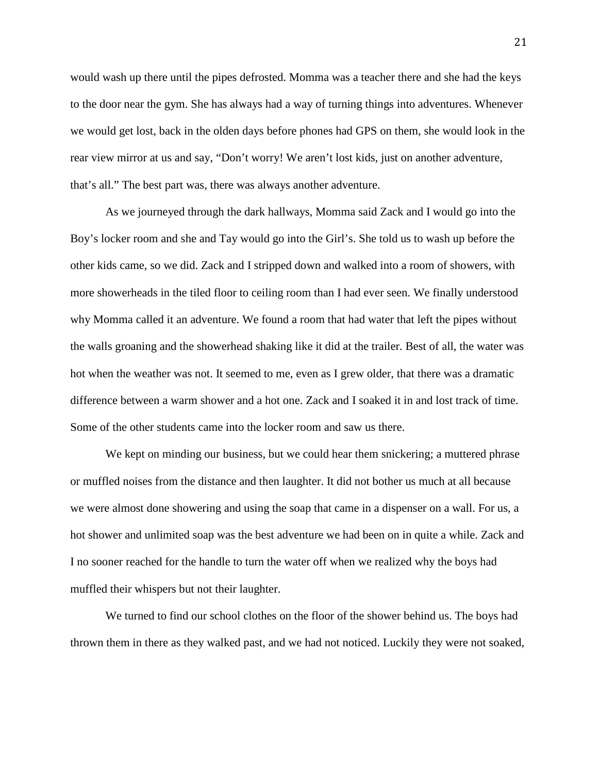would wash up there until the pipes defrosted. Momma was a teacher there and she had the keys to the door near the gym. She has always had a way of turning things into adventures. Whenever we would get lost, back in the olden days before phones had GPS on them, she would look in the rear view mirror at us and say, "Don't worry! We aren't lost kids, just on another adventure, that's all." The best part was, there was always another adventure.

As we journeyed through the dark hallways, Momma said Zack and I would go into the Boy's locker room and she and Tay would go into the Girl's. She told us to wash up before the other kids came, so we did. Zack and I stripped down and walked into a room of showers, with more showerheads in the tiled floor to ceiling room than I had ever seen. We finally understood why Momma called it an adventure. We found a room that had water that left the pipes without the walls groaning and the showerhead shaking like it did at the trailer. Best of all, the water was hot when the weather was not. It seemed to me, even as I grew older, that there was a dramatic difference between a warm shower and a hot one. Zack and I soaked it in and lost track of time. Some of the other students came into the locker room and saw us there.

We kept on minding our business, but we could hear them snickering; a muttered phrase or muffled noises from the distance and then laughter. It did not bother us much at all because we were almost done showering and using the soap that came in a dispenser on a wall. For us, a hot shower and unlimited soap was the best adventure we had been on in quite a while. Zack and I no sooner reached for the handle to turn the water off when we realized why the boys had muffled their whispers but not their laughter.

We turned to find our school clothes on the floor of the shower behind us. The boys had thrown them in there as they walked past, and we had not noticed. Luckily they were not soaked,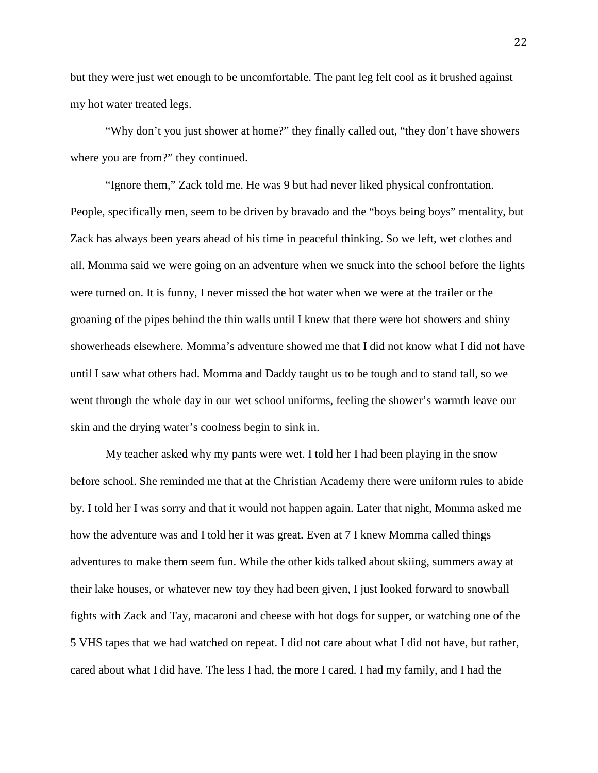but they were just wet enough to be uncomfortable. The pant leg felt cool as it brushed against my hot water treated legs.

"Why don't you just shower at home?" they finally called out, "they don't have showers where you are from?" they continued.

"Ignore them," Zack told me. He was 9 but had never liked physical confrontation. People, specifically men, seem to be driven by bravado and the "boys being boys" mentality, but Zack has always been years ahead of his time in peaceful thinking. So we left, wet clothes and all. Momma said we were going on an adventure when we snuck into the school before the lights were turned on. It is funny, I never missed the hot water when we were at the trailer or the groaning of the pipes behind the thin walls until I knew that there were hot showers and shiny showerheads elsewhere. Momma's adventure showed me that I did not know what I did not have until I saw what others had. Momma and Daddy taught us to be tough and to stand tall, so we went through the whole day in our wet school uniforms, feeling the shower's warmth leave our skin and the drying water's coolness begin to sink in.

My teacher asked why my pants were wet. I told her I had been playing in the snow before school. She reminded me that at the Christian Academy there were uniform rules to abide by. I told her I was sorry and that it would not happen again. Later that night, Momma asked me how the adventure was and I told her it was great. Even at 7 I knew Momma called things adventures to make them seem fun. While the other kids talked about skiing, summers away at their lake houses, or whatever new toy they had been given, I just looked forward to snowball fights with Zack and Tay, macaroni and cheese with hot dogs for supper, or watching one of the 5 VHS tapes that we had watched on repeat. I did not care about what I did not have, but rather, cared about what I did have. The less I had, the more I cared. I had my family, and I had the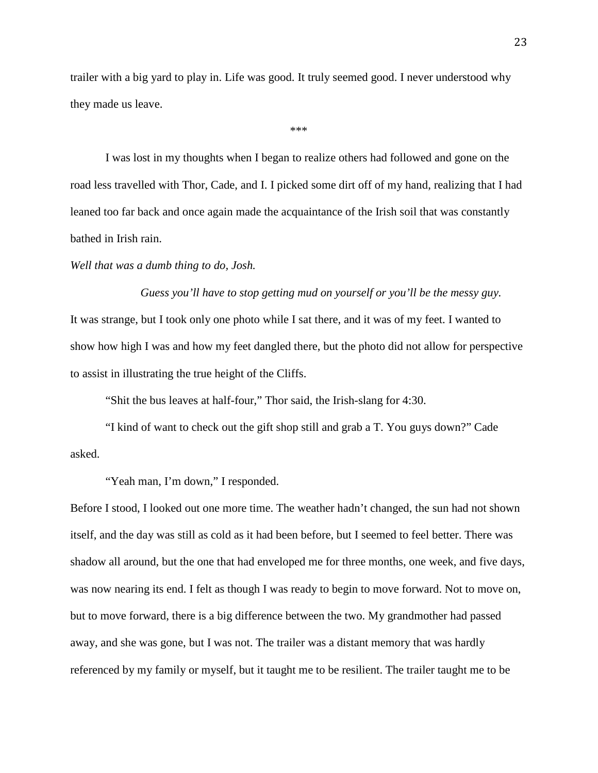trailer with a big yard to play in. Life was good. It truly seemed good. I never understood why they made us leave.

\*\*\*

I was lost in my thoughts when I began to realize others had followed and gone on the road less travelled with Thor, Cade, and I. I picked some dirt off of my hand, realizing that I had leaned too far back and once again made the acquaintance of the Irish soil that was constantly bathed in Irish rain.

#### *Well that was a dumb thing to do, Josh.*

*Guess you'll have to stop getting mud on yourself or you'll be the messy guy.* It was strange, but I took only one photo while I sat there, and it was of my feet. I wanted to show how high I was and how my feet dangled there, but the photo did not allow for perspective to assist in illustrating the true height of the Cliffs.

"Shit the bus leaves at half-four," Thor said, the Irish-slang for 4:30.

"I kind of want to check out the gift shop still and grab a T. You guys down?" Cade asked.

"Yeah man, I'm down," I responded.

Before I stood, I looked out one more time. The weather hadn't changed, the sun had not shown itself, and the day was still as cold as it had been before, but I seemed to feel better. There was shadow all around, but the one that had enveloped me for three months, one week, and five days, was now nearing its end. I felt as though I was ready to begin to move forward. Not to move on, but to move forward, there is a big difference between the two. My grandmother had passed away, and she was gone, but I was not. The trailer was a distant memory that was hardly referenced by my family or myself, but it taught me to be resilient. The trailer taught me to be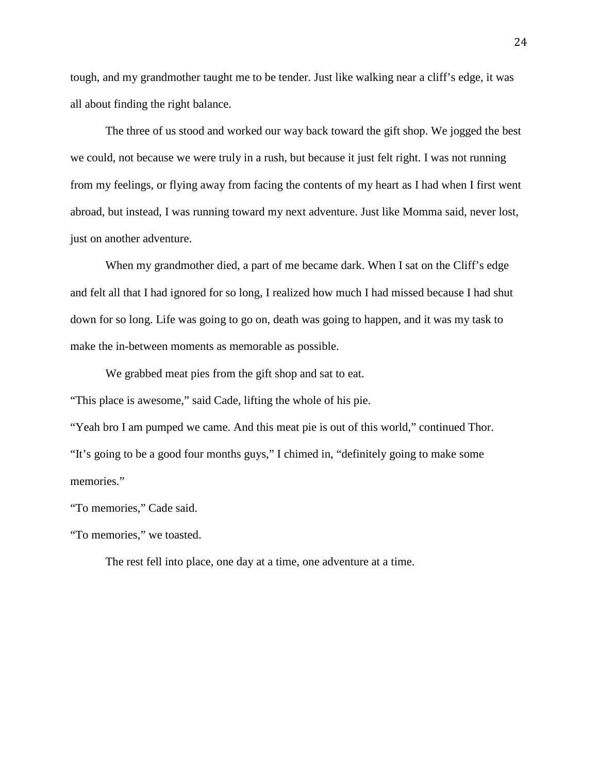tough, and my grandmother taught me to be tender. Just like walking near a cliff's edge, it was all about finding the right balance.

The three of us stood and worked our way back toward the gift shop. We jogged the best we could, not because we were truly in a rush, but because it just felt right. I was not running from my feelings, or flying away from facing the contents of my heart as I had when I first went abroad, but instead, I was running toward my next adventure. Just like Momma said, never lost, just on another adventure.

When my grandmother died, a part of me became dark. When I sat on the Cliff's edge and felt all that I had ignored for so long, I realized how much I had missed because I had shut down for so long. Life was going to go on, death was going to happen, and it was my task to make the in-between moments as memorable as possible.

We grabbed meat pies from the gift shop and sat to eat.

"This place is awesome," said Cade, lifting the whole of his pie.

"Yeah bro I am pumped we came. And this meat pie is out of this world," continued Thor. "It's going to be a good four months guys," I chimed in, "definitely going to make some memories."

"To memories," Cade said.

"To memories," we toasted.

The rest fell into place, one day at a time, one adventure at a time.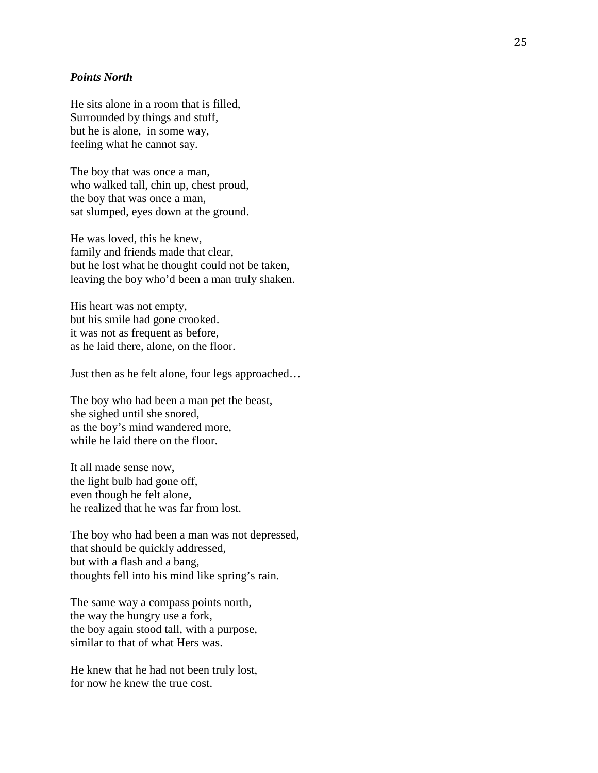#### *Points North*

He sits alone in a room that is filled, Surrounded by things and stuff, but he is alone, in some way, feeling what he cannot say.

The boy that was once a man, who walked tall, chin up, chest proud, the boy that was once a man, sat slumped, eyes down at the ground.

He was loved, this he knew, family and friends made that clear, but he lost what he thought could not be taken, leaving the boy who 'd been a man truly shaken.

His heart was not empty, but his smile had gone crooked. it was not as frequent as before, as he laid there, alone, on the floor.

Just then as he felt alone, four legs approached …

The boy who had been a man pet the beast, she sighed until she snored, as the boy's mind wandered more, while he laid there on the floor.

It all made sense now, the light bulb had gone off, even though he felt alone, he realized that he was far from lost.

The boy who had been a man was not depressed, that should be quickly addressed, but with a flash and a bang, thoughts fell into his mind like spring's rain.

The same way a compass points north, the way the hungry use a fork, the boy again stood tall, with a purpose, similar to that of what Hers was.

He knew that he had not been truly lost, for now he knew the true cost.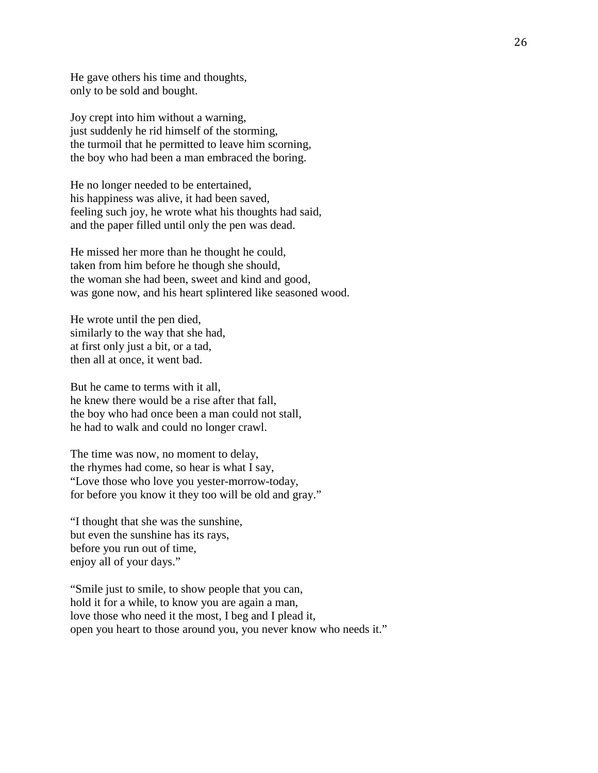He gave others his time and thoughts, only to be sold and bought.

Joy crept into him without a warning, just suddenly he rid himself of the storming, the turmoil that he permitted to leave him scorning, the boy who had been a man embraced the boring.

He no longer needed to be entertained, his happiness was alive, it had been saved, feeling such joy, he wrote what his thoughts had said, and the paper filled until only the pen was dead.

He missed her more than he thought he could, taken from him before he though she should, the woman she had been, sweet and kind and good, was gone now, and his heart splintered like seasoned wood.

He wrote until the pen died, similarly to the way that she had, at first only just a bit, or a tad, then all at once, it went bad.

But he came to terms with it all, he knew there would be a rise after that fall, the boy who had once been a man could not stall, he had to walk and could no longer crawl.

The time was now, no moment to delay, the rhymes had come, so hear is what I say, "Love those who love you yester-morrow-today, for before you know it they too will be old and gray."

"I thought that she was the sunshine, but even the sunshine has its rays, before you run out of time, enjoy all of your days."

"Smile just to smile, to show people that you can, hold it for a while, to know you are again a man, love those who need it the most, I beg and I plead it, open you heart to those around you, you never know who needs it."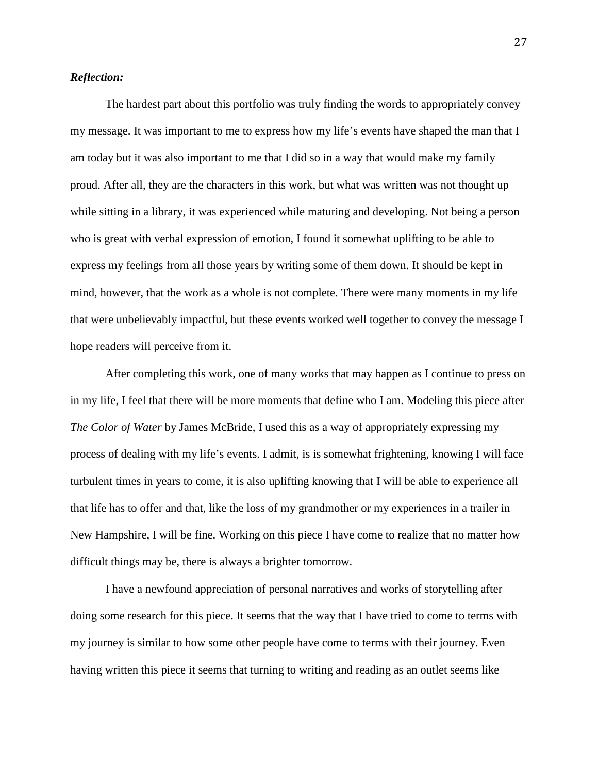#### *Reflection:*

The hardest part about this portfolio was truly finding the words to appropriately convey my message. It was important to me to express how my life's events have shaped the man that I am today but it was also important to me that I did so in a way that would make my family proud. After all, they are the characters in this work, but what was written was not thought up while sitting in a library, it was experienced while maturing and developing. Not being a person who is great with verbal expression of emotion, I found it somewhat uplifting to be able to express my feelings from all those years by writing some of them down. It should be kept in mind, however, that the work as a whole is not complete. There were many moments in my life that were unbelievably impactful, but these events worked well together to convey the message I hope readers will perceive from it.

After completing this work, one of many works that may happen as I continue to press on in my life, I feel that there will be more moments that define who I am. Modeling this piece after *The Color of Water* by James McBride, I used this as a way of appropriately expressing my process of dealing with my life's events. I admit, is is somewhat frightening, knowing I will face turbulent times in years to come, it is also uplifting knowing that I will be able to experience all that life has to offer and that, like the loss of my grandmother or my experiences in a trailer in New Hampshire, I will be fine. Working on this piece I have come to realize that no matter how difficult things may be, there is always a brighter tomorrow.

I have a newfound appreciation of personal narratives and works of storytelling after doing some research for this piece. It seems that the way that I have tried to come to terms with my journey is similar to how some other people have come to terms with their journey. Even having written this piece it seems that turning to writing and reading as an outlet seems like